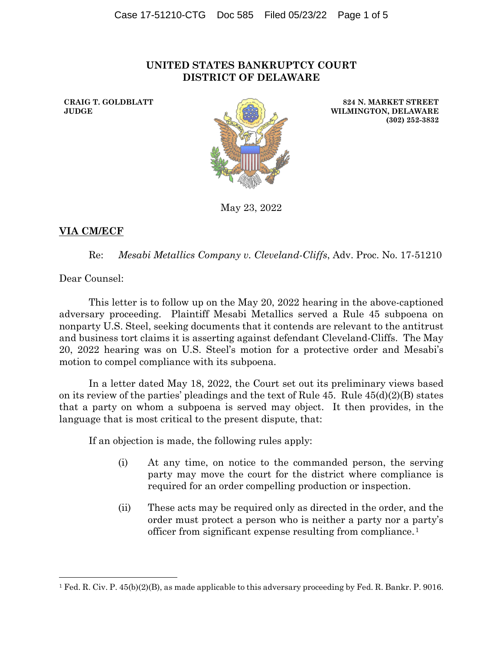## **UNITED STATES BANKRUPTCY COURT DISTRICT OF DELAWARE**

**CRAIG T. GOLDBLATT JUDGE**



**824 N. MARKET STREET WILMINGTON, DELAWARE (302) 252-3832**

May 23, 2022

## **VIA CM/ECF**

Re: *Mesabi Metallics Company v. Cleveland-Cliffs*, Adv. Proc. No. 17-51210

Dear Counsel:

This letter is to follow up on the May 20, 2022 hearing in the above-captioned adversary proceeding. Plaintiff Mesabi Metallics served a Rule 45 subpoena on nonparty U.S. Steel, seeking documents that it contends are relevant to the antitrust and business tort claims it is asserting against defendant Cleveland-Cliffs. The May 20, 2022 hearing was on U.S. Steel's motion for a protective order and Mesabi's motion to compel compliance with its subpoena.

In a letter dated May 18, 2022, the Court set out its preliminary views based on its review of the parties' pleadings and the text of Rule  $45$ . Rule  $45(d)(2)(B)$  states that a party on whom a subpoena is served may object. It then provides, in the language that is most critical to the present dispute, that:

If an objection is made, the following rules apply:

- (i) At any time, on notice to the commanded person, the serving party may move the court for the district where compliance is required for an order compelling production or inspection.
- (ii) These acts may be required only as directed in the order, and the order must protect a person who is neither a party nor a party's officer from significant expense resulting from compliance.<sup>1</sup>

<sup>1</sup> Fed. R. Civ. P. 45(b)(2)(B), as made applicable to this adversary proceeding by Fed. R. Bankr. P. 9016.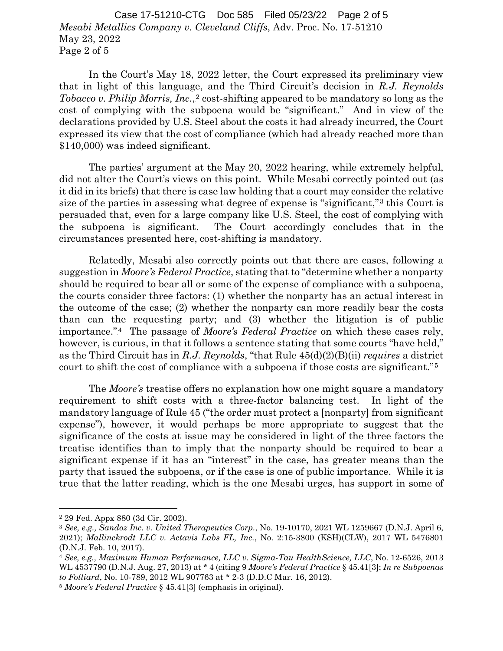*Mesabi Metallics Company v. Cleveland Cliffs*, Adv. Proc. No. 17-51210 May 23, 2022 Page 2 of 5 Case 17-51210-CTG Doc 585 Filed 05/23/22 Page 2 of 5

In the Court's May 18, 2022 letter, the Court expressed its preliminary view that in light of this language, and the Third Circuit's decision in *R.J. Reynolds Tobacco v. Philip Morris, Inc.*,<sup>2</sup> cost-shifting appeared to be mandatory so long as the cost of complying with the subpoena would be "significant." And in view of the declarations provided by U.S. Steel about the costs it had already incurred, the Court expressed its view that the cost of compliance (which had already reached more than \$140,000) was indeed significant.

The parties' argument at the May 20, 2022 hearing, while extremely helpful, did not alter the Court's views on this point. While Mesabi correctly pointed out (as it did in its briefs) that there is case law holding that a court may consider the relative size of the parties in assessing what degree of expense is "significant,"<sup>3</sup> this Court is persuaded that, even for a large company like U.S. Steel, the cost of complying with the subpoena is significant. The Court accordingly concludes that in the circumstances presented here, cost-shifting is mandatory.

Relatedly, Mesabi also correctly points out that there are cases, following a suggestion in *Moore's Federal Practice*, stating that to "determine whether a nonparty should be required to bear all or some of the expense of compliance with a subpoena, the courts consider three factors: (1) whether the nonparty has an actual interest in the outcome of the case; (2) whether the nonparty can more readily bear the costs than can the requesting party; and (3) whether the litigation is of public importance."<sup>4</sup> The passage of *Moore's Federal Practice* on which these cases rely, however, is curious, in that it follows a sentence stating that some courts "have held," as the Third Circuit has in *R.J. Reynolds*, "that Rule 45(d)(2)(B)(ii) *requires* a district court to shift the cost of compliance with a subpoena if those costs are significant."<sup>5</sup>

The *Moore's* treatise offers no explanation how one might square a mandatory requirement to shift costs with a three-factor balancing test. In light of the mandatory language of Rule 45 ("the order must protect a [nonparty] from significant expense"), however, it would perhaps be more appropriate to suggest that the significance of the costs at issue may be considered in light of the three factors the treatise identifies than to imply that the nonparty should be required to bear a significant expense if it has an "interest" in the case, has greater means than the party that issued the subpoena, or if the case is one of public importance. While it is true that the latter reading, which is the one Mesabi urges, has support in some of

<sup>2</sup> 29 Fed. Appx 880 (3d Cir. 2002).

<sup>3</sup> *See, e.g., Sandoz Inc. v. United Therapeutics Corp.*, No. 19-10170, 2021 WL 1259667 (D.N.J. April 6, 2021); *Mallinckrodt LLC v. Actavis Labs FL, Inc.*, No. 2:15-3800 (KSH)(CLW), 2017 WL 5476801 (D.N.J. Feb. 10, 2017).

<sup>4</sup> *See, e.g., Maximum Human Performance, LLC v. Sigma-Tau HealthScience, LLC*, No. 12-6526, 2013 WL 4537790 (D.N.J. Aug. 27, 2013) at \* 4 (citing 9 *Moore's Federal Practice* § 45.41[3]; *In re Subpoenas to Folliard*, No. 10-789, 2012 WL 907763 at \* 2-3 (D.D.C Mar. 16, 2012).

<sup>5</sup> *Moore's Federal Practice* § 45.41[3] (emphasis in original).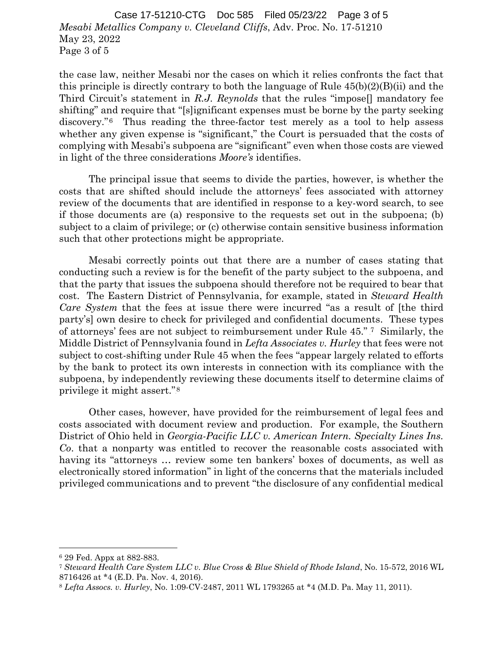*Mesabi Metallics Company v. Cleveland Cliffs*, Adv. Proc. No. 17-51210 May 23, 2022 Page 3 of 5 Case 17-51210-CTG Doc 585 Filed 05/23/22 Page 3 of 5

the case law, neither Mesabi nor the cases on which it relies confronts the fact that this principle is directly contrary to both the language of Rule  $45(b)(2)(B)(ii)$  and the Third Circuit's statement in *R.J. Reynolds* that the rules "impose[] mandatory fee shifting" and require that "[s]ignificant expenses must be borne by the party seeking discovery."<sup>6</sup> Thus reading the three-factor test merely as a tool to help assess whether any given expense is "significant," the Court is persuaded that the costs of complying with Mesabi's subpoena are "significant" even when those costs are viewed in light of the three considerations *Moore's* identifies.

The principal issue that seems to divide the parties, however, is whether the costs that are shifted should include the attorneys' fees associated with attorney review of the documents that are identified in response to a key-word search, to see if those documents are (a) responsive to the requests set out in the subpoena; (b) subject to a claim of privilege; or (c) otherwise contain sensitive business information such that other protections might be appropriate.

Mesabi correctly points out that there are a number of cases stating that conducting such a review is for the benefit of the party subject to the subpoena, and that the party that issues the subpoena should therefore not be required to bear that cost. The Eastern District of Pennsylvania, for example, stated in *Steward Health Care System that the fees at issue there were incurred "as a result of [the third* party's] own desire to check for privileged and confidential documents. These types of attorneys' fees are not subject to reimbursement under Rule 45." <sup>7</sup> Similarly, the Middle District of Pennsylvania found in *Lefta Associates v. Hurley* that fees were not subject to cost-shifting under Rule 45 when the fees "appear largely related to efforts by the bank to protect its own interests in connection with its compliance with the subpoena, by independently reviewing these documents itself to determine claims of privilege it might assert."<sup>8</sup>

Other cases, however, have provided for the reimbursement of legal fees and costs associated with document review and production. For example, the Southern District of Ohio held in *Georgia-Pacific LLC v. American Intern. Specialty Lines Ins. Co*. that a nonparty was entitled to recover the reasonable costs associated with having its "attorneys ... review some ten bankers' boxes of documents, as well as electronically stored information" in light of the concerns that the materials included privileged communications and to prevent "the disclosure of any confidential medical

<sup>6</sup> 29 Fed. Appx at 882-883.

<sup>7</sup> *Steward Health Care System LLC v. Blue Cross & Blue Shield of Rhode Island*, No. 15-572, 2016 WL 8716426 at \*4 (E.D. Pa. Nov. 4, 2016).

<sup>8</sup> *Lefta Assocs. v. Hurley*, No. 1:09-CV-2487, 2011 WL 1793265 at \*4 (M.D. Pa. May 11, 2011).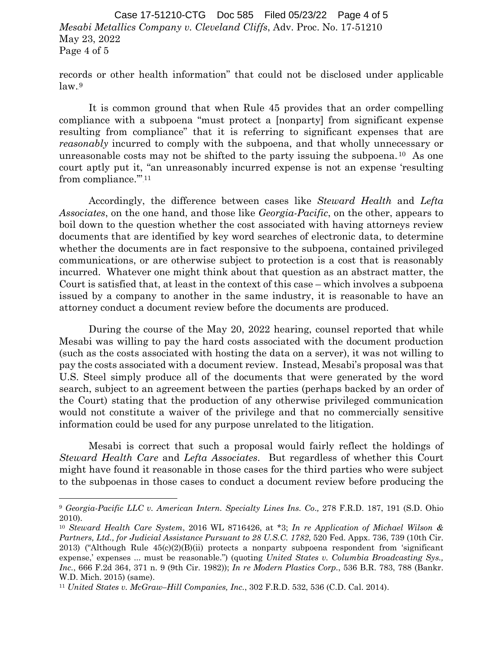*Mesabi Metallics Company v. Cleveland Cliffs*, Adv. Proc. No. 17-51210 May 23, 2022 Page 4 of 5 Case 17-51210-CTG Doc 585 Filed 05/23/22 Page 4 of 5

records or other health information" that could not be disclosed under applicable  $law.^9$ 

It is common ground that when Rule 45 provides that an order compelling compliance with a subpoena "must protect a [nonparty] from significant expense resulting from compliance" that it is referring to significant expenses that are *reasonably* incurred to comply with the subpoena, and that wholly unnecessary or unreasonable costs may not be shifted to the party issuing the subpoena.<sup>10</sup> As one court aptly put it, "an unreasonably incurred expense is not an expense 'resulting from compliance."<sup>11</sup>

Accordingly, the difference between cases like *Steward Health* and *Lefta Associates*, on the one hand, and those like *Georgia-Pacific*, on the other, appears to boil down to the question whether the cost associated with having attorneys review documents that are identified by key word searches of electronic data, to determine whether the documents are in fact responsive to the subpoena, contained privileged communications, or are otherwise subject to protection is a cost that is reasonably incurred. Whatever one might think about that question as an abstract matter, the Court is satisfied that, at least in the context of this case – which involves a subpoena issued by a company to another in the same industry, it is reasonable to have an attorney conduct a document review before the documents are produced.

During the course of the May 20, 2022 hearing, counsel reported that while Mesabi was willing to pay the hard costs associated with the document production (such as the costs associated with hosting the data on a server), it was not willing to pay the costs associated with a document review. Instead, Mesabi's proposal was that U.S. Steel simply produce all of the documents that were generated by the word search, subject to an agreement between the parties (perhaps backed by an order of the Court) stating that the production of any otherwise privileged communication would not constitute a waiver of the privilege and that no commercially sensitive information could be used for any purpose unrelated to the litigation.

Mesabi is correct that such a proposal would fairly reflect the holdings of *Steward Health Care* and *Lefta Associates*. But regardless of whether this Court might have found it reasonable in those cases for the third parties who were subject to the subpoenas in those cases to conduct a document review before producing the

<sup>9</sup> *Georgia-Pacific LLC v. American Intern. Specialty Lines Ins. Co*.*,* 278 F.R.D. 187, 191 (S.D. Ohio 2010).

<sup>10</sup> *Steward Health Care System*, 2016 WL 8716426, at \*3; *In re Application of Michael Wilson & Partners, Ltd., for Judicial Assistance Pursuant to 28 U.S.C. 1782*, 520 Fed. Appx. 736, 739 (10th Cir. 2013) ("Although Rule 45(c)(2)(B)(ii) protects a nonparty subpoena respondent from 'significant expense,' expenses ... must be reasonable.") (quoting *United States v. Columbia Broadcasting Sys., Inc.*, 666 F.2d 364, 371 n. 9 (9th Cir. 1982)); *In re Modern Plastics Corp.*, 536 B.R. 783, 788 (Bankr. W.D. Mich. 2015) (same).

<sup>11</sup> *United States v. McGraw–Hill Companies, Inc.*, 302 F.R.D. 532, 536 (C.D. Cal. 2014).